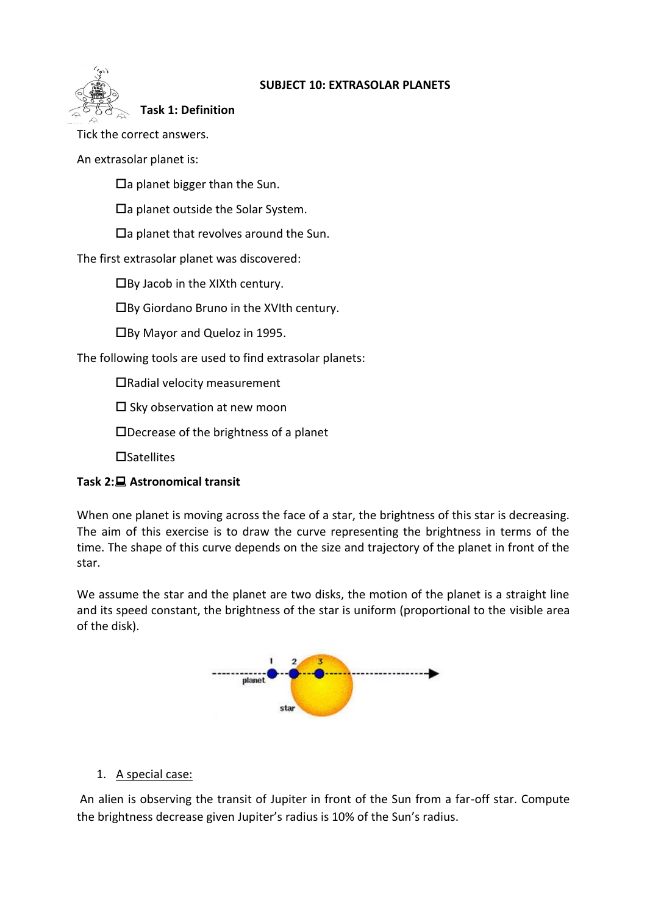

# **SUBJECT 10: EXTRASOLAR PLANETS**

**Task 1: Definition**

Tick the correct answers.

An extrasolar planet is:

 $\Box$ a planet bigger than the Sun.

 $\Box$ a planet outside the Solar System.

 $\Box$ a planet that revolves around the Sun.

The first extrasolar planet was discovered:

By Jacob in the XIXth century.

By Giordano Bruno in the XVIth century.

By Mayor and Queloz in 1995.

The following tools are used to find extrasolar planets:

Radial velocity measurement

 $\square$  Sky observation at new moon

Decrease of the brightness of a planet

 $\Box$ Satellites

# **Task 2: Astronomical transit**

When one planet is moving across the face of a star, the brightness of this star is decreasing. The aim of this exercise is to draw the curve representing the brightness in terms of the time. The shape of this curve depends on the size and trajectory of the planet in front of the star.

We assume the star and the planet are two disks, the motion of the planet is a straight line and its speed constant, the brightness of the star is uniform (proportional to the visible area of the disk).



# 1. A special case:

An alien is observing the transit of Jupiter in front of the Sun from a far-off star. Compute the brightness decrease given Jupiter's radius is 10% of the Sun's radius.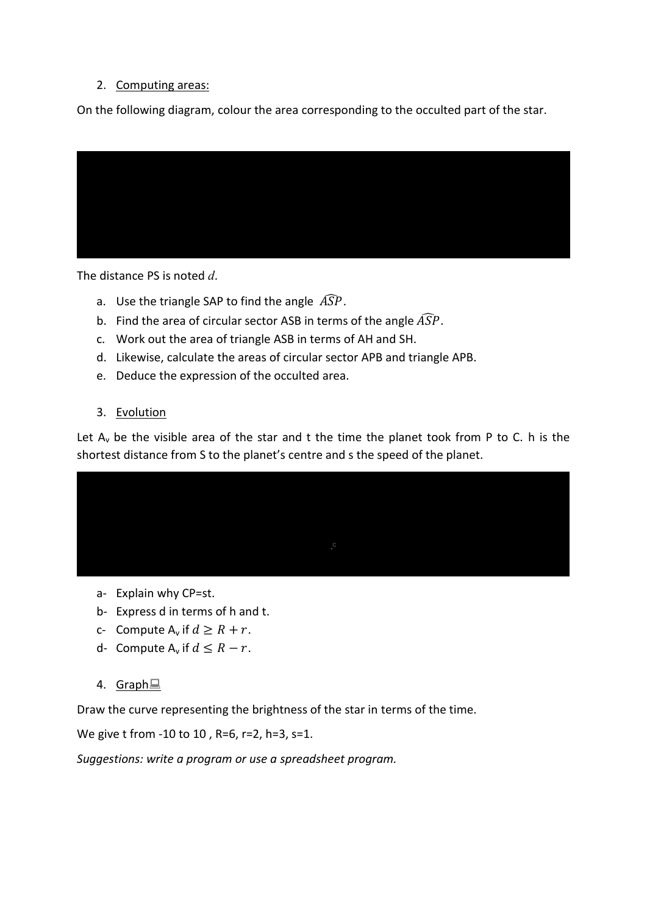# 2. Computing areas:

On the following diagram, colour the area corresponding to the occulted part of the star.



The distance PS is noted *d*.

- a. Use the triangle SAP to find the angle  $\widehat{ASP}$ .
- b. Find the area of circular sector ASB in terms of the angle  $\widehat{ASP}$ .
- c. Work out the area of triangle ASB in terms of AH and SH.
- d. Likewise, calculate the areas of circular sector APB and triangle APB.
- e. Deduce the expression of the occulted area.
- 3. Evolution

Let  $A_v$  be the visible area of the star and t the time the planet took from P to C. h is the shortest distance from S to the planet's centre and s the speed of the planet.



- a- Explain why CP=st.
- b- Express d in terms of h and t.
- c- Compute  $A_v$  if  $d \ge R + r$ .
- d- Compute  $A_v$  if  $d \leq R r$ .
- 4. Graph<sub>l</sub>

Draw the curve representing the brightness of the star in terms of the time.

We give t from -10 to 10 , R=6, r=2, h=3, s=1.

*Suggestions: write a program or use a spreadsheet program.*